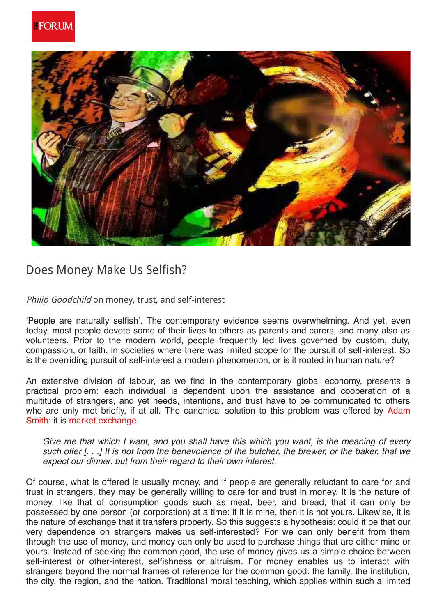

## Does Money Make Us Selfish?

Philip Goodchild on money, trust, and self-interest

'People are naturally selfish'. The contemporary evidence seems overwhelming. And yet, even today, most people devote some of their lives to others as parents and carers, and many also as volunteers. Prior to the modern world, people frequently led lives governed by custom, duty, compassion, or faith, in societies where there was limited scope for the pursuit of self-interest. So is the overriding pursuit of self-interest a modern phenomenon, or is it rooted in human nature?

An extensive division of labour, as we find in the contemporary global economy, presents a practical problem: each individual is dependent upon the assistance and cooperation of a multitude of strangers, and yet needs, intentions, and trust have to be communicated to others who are only met briefly, if at all. The canonical solution to this problem was offered by Adam Smith: it is market exchange.

Give me that which I want, and you shall have this which you want, is the meaning of every such offer [...] It is not from the benevolence of the butcher, the brewer, or the baker, that we expect our dinner, but from their regard to their own interest.

Of course, what is offered is usually money, and if people are generally reluctant to care for and trust in strangers, they may be generally willing to care for and trust in money. It is the nature of money, like that of consumption goods such as meat, beer, and bread, that it can only be possessed by one person (or corporation) at a time: if it is mine, then it is not yours. Likewise, it is the nature of exchange that it transfers property. So this suggests a hypothesis: could it be that our very dependence on strangers makes us self-interested? For we can only benefit from them through the use of money, and money can only be used to purchase things that are either mine or yours. Instead of seeking the common good, the use of money gives us a simple choice between self-interest or other-interest, selfishness or altruism. For money enables us to interact with strangers beyond the normal frames of reference for the common good: the family, the institution, the city, the region, and the nation. Traditional moral teaching, which applies within such a limited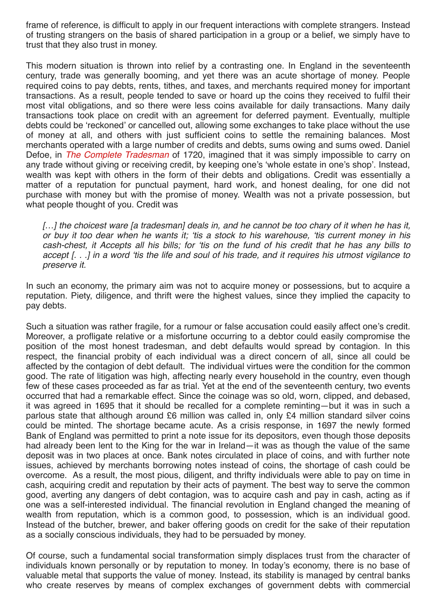frame of reference, is difficult to apply in our frequent interactions with complete strangers. Instead of trusting strangers on the basis of shared participation in a group or a belief, we simply have to trust that they also trust in money.

This modern situation is thrown into relief by a contrasting one. In England in the seventeenth century, trade was generally booming, and yet there was an acute shortage of money. People required coins to pay debts, rents, tithes, and taxes, and merchants required money for important transactions. As a result, people tended to save or hoard up the coins they received to fulfil their most vital obligations, and so there were less coins available for daily transactions. Many daily transactions took place on credit with an agreement for deferred payment. Eventually, multiple debts could be 'reckoned' or cancelled out, allowing some exchanges to take place without the use of money at all, and others with just sufficient coins to settle the remaining balances. Most merchants operated with a large number of credits and debts, sums owing and sums owed. Daniel Defoe, in The Complete Tradesman of 1720, imagined that it was simply impossible to carry on any trade without giving or receiving credit, by keeping one's 'whole estate in one's shop'. Instead, wealth was kept with others in the form of their debts and obligations. Credit was essentially a matter of a reputation for punctual payment, hard work, and honest dealing, for one did not purchase with money but with the promise of money. Wealth was not a private possession, but what people thought of you. Credit was

[...] the choicest ware [a tradesman] deals in, and he cannot be too chary of it when he has it, or buy it too dear when he wants it; 'tis a stock to his warehouse, 'tis current money in his cash-chest, it Accepts all his bills; for 'tis on the fund of his credit that he has any bills to accept [...] in a word 'tis the life and soul of his trade, and it requires his utmost vigilance to preserve it.

In such an economy, the primary aim was not to acquire money or possessions, but to acquire a reputation. Piety, diligence, and thrift were the highest values, since they implied the capacity to pay debts.

Such a situation was rather fragile, for a rumour or false accusation could easily affect one's credit. Moreover, a profligate relative or a misfortune occurring to a debtor could easily compromise the position of the most honest tradesman, and debt defaults would spread by contagion. In this respect, the financial probity of each individual was a direct concern of all, since all could be affected by the contagion of debt default. The individual virtues were the condition for the common good. The rate of litigation was high, affecting nearly every household in the country, even though few of these cases proceeded as far as trial. Yet at the end of the seventeenth century, two events occurred that had a remarkable effect. Since the coinage was so old, worn, clipped, and debased, it was agreed in 1695 that it should be recalled for a complete reminting—but it was in such a parlous state that although around £6 million was called in, only £4 million standard silver coins could be minted. The shortage became acute. As a crisis response, in 1697 the newly formed Bank of England was permitted to print a note issue for its depositors, even though those deposits had already been lent to the King for the war in Ireland—it was as though the value of the same deposit was in two places at once. Bank notes circulated in place of coins, and with further note issues, achieved by merchants borrowing notes instead of coins, the shortage of cash could be overcome. As a result, the most pious, diligent, and thrifty individuals were able to pay on time in cash, acquiring credit and reputation by their acts of payment. The best way to serve the common good, averting any dangers of debt contagion, was to acquire cash and pay in cash, acting as if one was a self-interested individual. The financial revolution in England changed the meaning of wealth from reputation, which is a common good, to possession, which is an individual good. Instead of the butcher, brewer, and baker offering goods on credit for the sake of their reputation as a socially conscious individuals, they had to be persuaded by money.

Of course, such a fundamental social transformation simply displaces trust from the character of individuals known personally or by reputation to money. In today's economy, there is no base of valuable metal that supports the value of money. Instead, its stability is managed by central banks who create reserves by means of complex exchanges of government debts with commercial